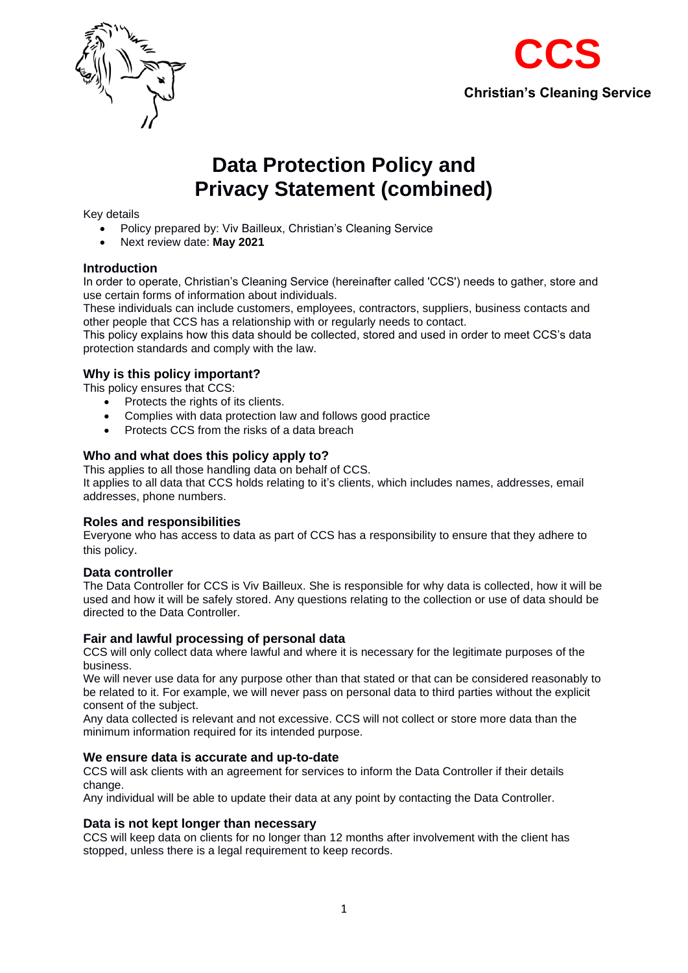



# **Data Protection Policy and Privacy Statement (combined)**

## Key details

- Policy prepared by: Viv Bailleux, Christian's Cleaning Service
- Next review date: **May 2021**

## **Introduction**

In order to operate, Christian's Cleaning Service (hereinafter called 'CCS') needs to gather, store and use certain forms of information about individuals.

These individuals can include customers, employees, contractors, suppliers, business contacts and other people that CCS has a relationship with or regularly needs to contact.

This policy explains how this data should be collected, stored and used in order to meet CCS's data protection standards and comply with the law.

## **Why is this policy important?**

This policy ensures that CCS:

- Protects the rights of its clients.
- Complies with data protection law and follows good practice
- Protects CCS from the risks of a data breach

## **Who and what does this policy apply to?**

This applies to all those handling data on behalf of CCS. It applies to all data that CCS holds relating to it's clients, which includes names, addresses, email addresses, phone numbers.

## **Roles and responsibilities**

Everyone who has access to data as part of CCS has a responsibility to ensure that they adhere to this policy.

#### **Data controller**

The Data Controller for CCS is Viv Bailleux. She is responsible for why data is collected, how it will be used and how it will be safely stored. Any questions relating to the collection or use of data should be directed to the Data Controller.

#### **Fair and lawful processing of personal data**

CCS will only collect data where lawful and where it is necessary for the legitimate purposes of the business.

We will never use data for any purpose other than that stated or that can be considered reasonably to be related to it. For example, we will never pass on personal data to third parties without the explicit consent of the subject.

Any data collected is relevant and not excessive. CCS will not collect or store more data than the minimum information required for its intended purpose.

#### **We ensure data is accurate and up-to-date**

CCS will ask clients with an agreement for services to inform the Data Controller if their details change.

Any individual will be able to update their data at any point by contacting the Data Controller.

## **Data is not kept longer than necessary**

CCS will keep data on clients for no longer than 12 months after involvement with the client has stopped, unless there is a legal requirement to keep records.